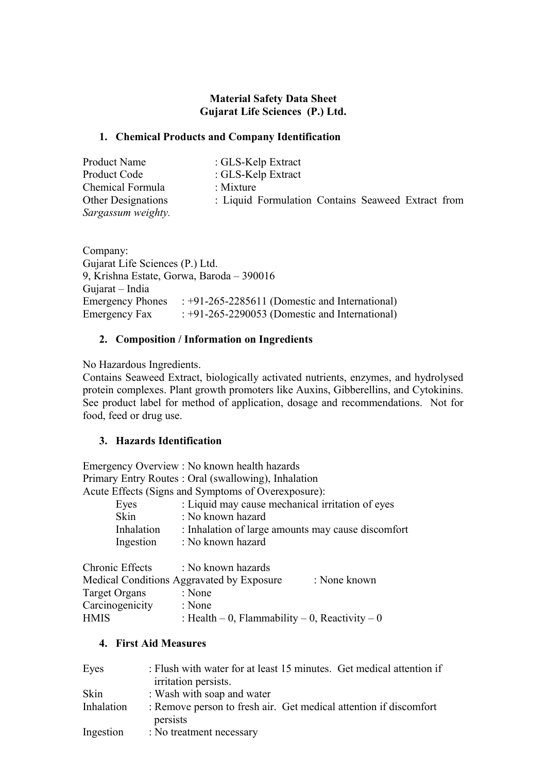## **Material Safety Data Sheet Gujarat Life Sciences (P.) Ltd.**

### **1. Chemical Products and Company Identification**

| Product Name                                    | : GLS-Kelp Extract                                 |
|-------------------------------------------------|----------------------------------------------------|
| Product Code                                    | : GLS-Kelp Extract                                 |
| Chemical Formula                                | : Mixture                                          |
| <b>Other Designations</b><br>Sargassum weighty. | : Liquid Formulation Contains Seaweed Extract from |

Company: Gujarat Life Sciences (P.) Ltd. 9, Krishna Estate, Gorwa, Baroda – 390016 Gujarat – India Emergency Phones : +91-265-2285611 (Domestic and International) Emergency Fax : +91-265-2290053 (Domestic and International)

## **2. Composition / Information on Ingredients**

No Hazardous Ingredients.

Contains Seaweed Extract, biologically activated nutrients, enzymes, and hydrolysed protein complexes. Plant growth promoters like Auxins, Gibberellins, and Cytokinins. See product label for method of application, dosage and recommendations. Not for food, feed or drug use.

## **3. Hazards Identification**

Emergency Overview : No known health hazards Primary Entry Routes : Oral (swallowing), Inhalation Acute Effects (Signs and Symptoms of Overexposure):

| Eyes                    | : Liquid may cause mechanical irritation of eyes                        |
|-------------------------|-------------------------------------------------------------------------|
| <b>Skin</b>             | : No known hazard                                                       |
| Inhalation<br>Ingestion | : Inhalation of large amounts may cause discomfort<br>: No known hazard |
|                         |                                                                         |

| Chronic Effects | : No known hazards                             |              |
|-----------------|------------------------------------------------|--------------|
|                 | Medical Conditions Aggravated by Exposure      | : None known |
| Target Organs   | : None                                         |              |
| Carcinogenicity | : None                                         |              |
| <b>HMIS</b>     | : Health – 0, Flammability – 0, Reactivity – 0 |              |

## **4. First Aid Measures**

| Eyes       | : Flush with water for at least 15 minutes. Get medical attention if<br>irritation persists. |
|------------|----------------------------------------------------------------------------------------------|
| Skin       | : Wash with soap and water                                                                   |
| Inhalation | : Remove person to fresh air. Get medical attention if discomfort<br>persists                |
| Ingestion  | : No treatment necessary                                                                     |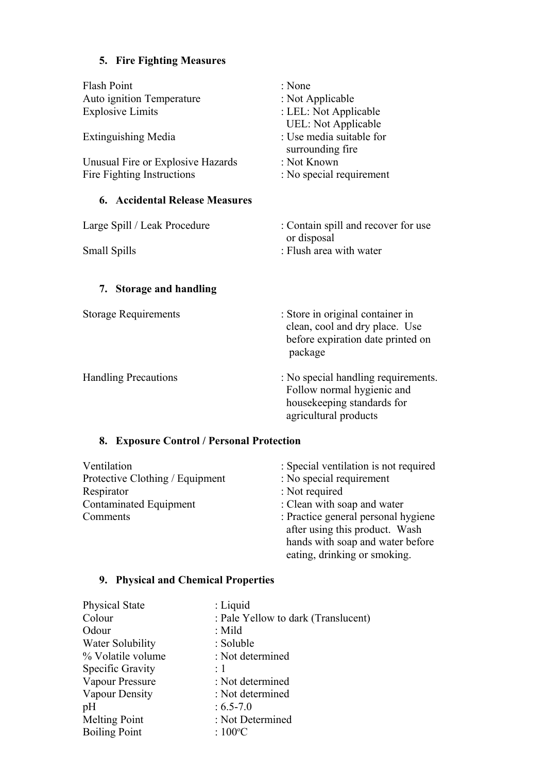# **5. Fire Fighting Measures**

| <b>Flash Point</b><br>Auto ignition Temperature<br><b>Explosive Limits</b><br><b>Extinguishing Media</b><br>Unusual Fire or Explosive Hazards<br>Fire Fighting Instructions | : None<br>: Not Applicable<br>: LEL: Not Applicable<br><b>UEL: Not Applicable</b><br>: Use media suitable for<br>surrounding fire<br>: Not Known<br>: No special requirement |
|-----------------------------------------------------------------------------------------------------------------------------------------------------------------------------|------------------------------------------------------------------------------------------------------------------------------------------------------------------------------|
| <b>6. Accidental Release Measures</b>                                                                                                                                       |                                                                                                                                                                              |
| Large Spill / Leak Procedure<br>Small Spills                                                                                                                                | : Contain spill and recover for use<br>or disposal<br>: Flush area with water                                                                                                |
| 7. Storage and handling                                                                                                                                                     |                                                                                                                                                                              |
| <b>Storage Requirements</b>                                                                                                                                                 | : Store in original container in<br>clean, cool and dry place. Use<br>before expiration date printed on<br>package                                                           |
| <b>Handling Precautions</b>                                                                                                                                                 | : No special handling requirements.<br>Follow normal hygienic and<br>housekeeping standards for<br>agricultural products                                                     |
| <b>Exposure Control / Personal Protection</b><br>8.                                                                                                                         |                                                                                                                                                                              |

| Ventilation                     | : Special ventilation is not required |
|---------------------------------|---------------------------------------|
| Protective Clothing / Equipment | : No special requirement              |
| Respirator                      | : Not required                        |
| <b>Contaminated Equipment</b>   | : Clean with soap and water           |
| Comments                        | : Practice general personal hygiene   |
|                                 | after using this product. Wash        |
|                                 | hands with soap and water before      |
|                                 | eating, drinking or smoking.          |
|                                 |                                       |

# **9. Physical and Chemical Properties**

| <b>Physical State</b> | : Liquid                            |
|-----------------------|-------------------------------------|
| Colour                | : Pale Yellow to dark (Translucent) |
| Odour                 | $:$ Mild                            |
| Water Solubility      | : Soluble                           |
| % Volatile volume     | : Not determined                    |
| Specific Gravity      | $\cdot$ 1                           |
| Vapour Pressure       | : Not determined                    |
| Vapour Density        | : Not determined                    |
| pH                    | $: 6.5 - 7.0$                       |
| <b>Melting Point</b>  | : Not Determined                    |
| <b>Boiling Point</b>  | : $100^{\circ}$ C                   |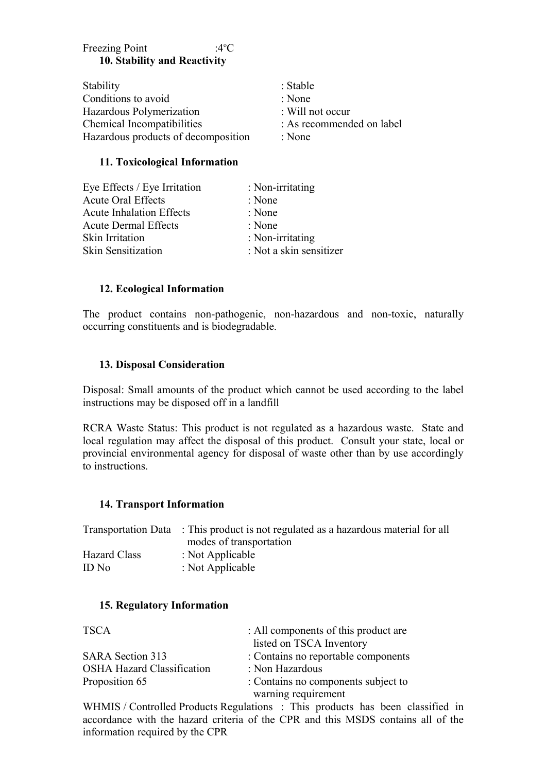# Freezing Point :4<sup>o</sup>C **10. Stability and Reactivity**

| Stability                           | : Stable                    |
|-------------------------------------|-----------------------------|
| Conditions to avoid                 | : None                      |
| Hazardous Polymerization            | $\therefore$ Will not occur |
| Chemical Incompatibilities          | : As recommended on label   |
| Hazardous products of decomposition | : None                      |

#### **11. Toxicological Information**

| : Non-irritating        |
|-------------------------|
| : None                  |
| : None                  |
| : None                  |
| : Non-irritating        |
| : Not a skin sensitizer |
|                         |

#### **12. Ecological Information**

The product contains non-pathogenic, non-hazardous and non-toxic, naturally occurring constituents and is biodegradable.

#### **13. Disposal Consideration**

Disposal: Small amounts of the product which cannot be used according to the label instructions may be disposed off in a landfill

RCRA Waste Status: This product is not regulated as a hazardous waste. State and local regulation may affect the disposal of this product. Consult your state, local or provincial environmental agency for disposal of waste other than by use accordingly to instructions.

#### **14. Transport Information**

|                     | Transportation Data : This product is not regulated as a hazardous material for all |
|---------------------|-------------------------------------------------------------------------------------|
|                     | modes of transportation                                                             |
| <b>Hazard Class</b> | : Not Applicable                                                                    |
| ID No               | : Not Applicable                                                                    |

#### **15. Regulatory Information**

| <b>TSCA</b>                       | : All components of this product are |
|-----------------------------------|--------------------------------------|
|                                   | listed on TSCA Inventory             |
| SARA Section 313                  | : Contains no reportable components  |
| <b>OSHA Hazard Classification</b> | : Non Hazardous                      |
| Proposition 65                    | : Contains no components subject to  |
|                                   | warning requirement                  |

WHMIS / Controlled Products Regulations : This products has been classified in accordance with the hazard criteria of the CPR and this MSDS contains all of the information required by the CPR